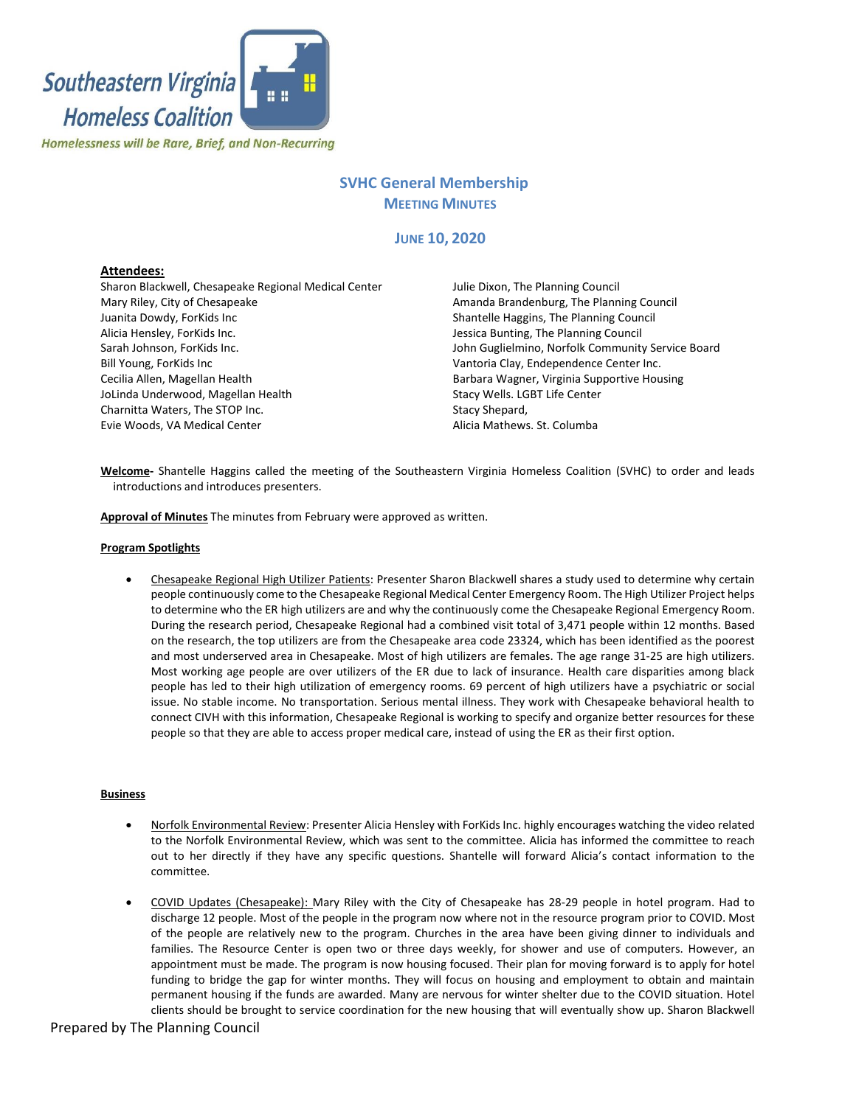

# **SVHC General Membership MEETING MINUTES**

## **JUNE 10, 2020**

## **Attendees:**

Sharon Blackwell, Chesapeake Regional Medical Center Mary Riley, City of Chesapeake Juanita Dowdy, ForKids Inc Alicia Hensley, ForKids Inc. Sarah Johnson, ForKids Inc. Bill Young, ForKids Inc Cecilia Allen, Magellan Health JoLinda Underwood, Magellan Health Charnitta Waters, The STOP Inc. Evie Woods, VA Medical Center

Julie Dixon, The Planning Council Amanda Brandenburg, The Planning Council Shantelle Haggins, The Planning Council Jessica Bunting, The Planning Council John Guglielmino, Norfolk Community Service Board Vantoria Clay, Endependence Center Inc. Barbara Wagner, Virginia Supportive Housing Stacy Wells. LGBT Life Center Stacy Shepard, Alicia Mathews. St. Columba

**Welcome-** Shantelle Haggins called the meeting of the Southeastern Virginia Homeless Coalition (SVHC) to order and leads introductions and introduces presenters.

**Approval of Minutes** The minutes from February were approved as written.

#### **Program Spotlights**

• Chesapeake Regional High Utilizer Patients: Presenter Sharon Blackwell shares a study used to determine why certain people continuously come to the Chesapeake Regional Medical Center Emergency Room. The High Utilizer Project helps to determine who the ER high utilizers are and why the continuously come the Chesapeake Regional Emergency Room. During the research period, Chesapeake Regional had a combined visit total of 3,471 people within 12 months. Based on the research, the top utilizers are from the Chesapeake area code 23324, which has been identified as the poorest and most underserved area in Chesapeake. Most of high utilizers are females. The age range 31-25 are high utilizers. Most working age people are over utilizers of the ER due to lack of insurance. Health care disparities among black people has led to their high utilization of emergency rooms. 69 percent of high utilizers have a psychiatric or social issue. No stable income. No transportation. Serious mental illness. They work with Chesapeake behavioral health to connect CIVH with this information, Chesapeake Regional is working to specify and organize better resources for these people so that they are able to access proper medical care, instead of using the ER as their first option.

## **Business**

- Norfolk Environmental Review: Presenter Alicia Hensley with ForKids Inc. highly encourages watching the video related to the Norfolk Environmental Review, which was sent to the committee. Alicia has informed the committee to reach out to her directly if they have any specific questions. Shantelle will forward Alicia's contact information to the committee.
- COVID Updates (Chesapeake): Mary Riley with the City of Chesapeake has 28-29 people in hotel program. Had to discharge 12 people. Most of the people in the program now where not in the resource program prior to COVID. Most of the people are relatively new to the program. Churches in the area have been giving dinner to individuals and families. The Resource Center is open two or three days weekly, for shower and use of computers. However, an appointment must be made. The program is now housing focused. Their plan for moving forward is to apply for hotel funding to bridge the gap for winter months. They will focus on housing and employment to obtain and maintain permanent housing if the funds are awarded. Many are nervous for winter shelter due to the COVID situation. Hotel clients should be brought to service coordination for the new housing that will eventually show up. Sharon Blackwell

## Prepared by The Planning Council